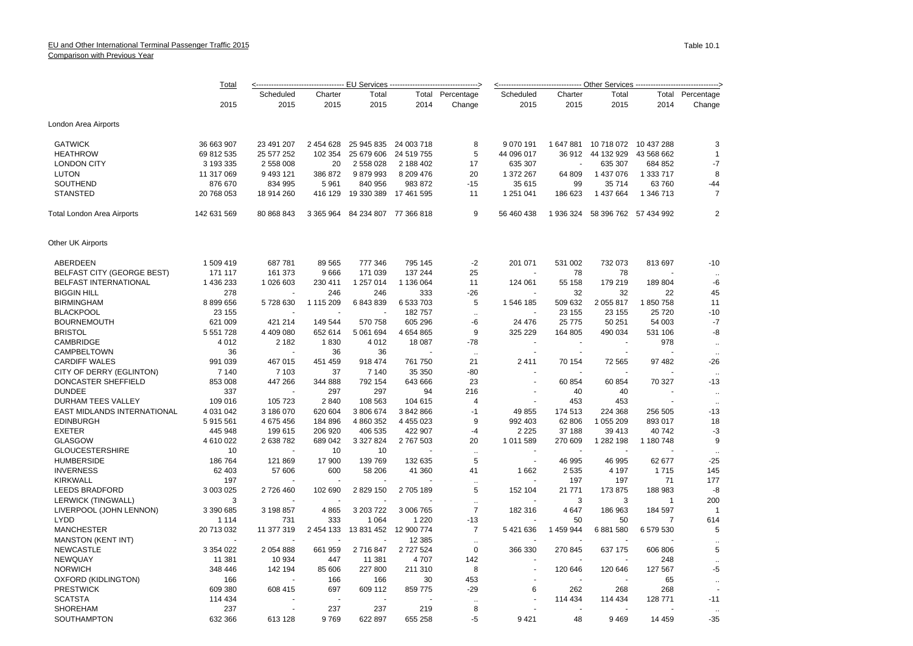|                                    | Total         | <---------------------------------- <u>-- EU Services --------------------------------</u> > |           |                       |            |                  | <--------------------------------- Other Services -------------------------------> |                |                                 |                |                  |  |
|------------------------------------|---------------|----------------------------------------------------------------------------------------------|-----------|-----------------------|------------|------------------|------------------------------------------------------------------------------------|----------------|---------------------------------|----------------|------------------|--|
|                                    |               | Scheduled                                                                                    | Charter   | Total                 |            | Total Percentage | Scheduled                                                                          | Charter        | Total                           |                | Total Percentage |  |
|                                    | 2015          | 2015                                                                                         | 2015      | 2015                  | 2014       | Change           | 2015                                                                               | 2015           | 2015                            | 2014           | Change           |  |
| London Area Airports               |               |                                                                                              |           |                       |            |                  |                                                                                    |                |                                 |                |                  |  |
| <b>GATWICK</b>                     | 36 663 907    | 23 491 207                                                                                   | 2 454 628 | 25 945 835            | 24 003 718 | 8                | 9 0 7 0 1 9 1                                                                      | 1 647 881      | 10 718 072 10 437 288           |                | 3                |  |
| <b>HEATHROW</b>                    | 69 812 535    | 25 577 252                                                                                   | 102 354   | 25 679 606            | 24 519 755 | 5                | 44 096 017                                                                         |                | 36 912 44 132 929               | 43 568 662     | $\overline{1}$   |  |
| <b>LONDON CITY</b>                 | 3 193 335     | 2 558 008                                                                                    | 20        | 2 558 028             | 2 188 402  | 17               | 635 307                                                                            |                | 635 307                         | 684 852        | $-7$             |  |
| <b>LUTON</b>                       | 11 317 069    | 9 493 121                                                                                    | 386 872   | 9879993               | 8 209 476  | 20               | 1 372 267                                                                          | 64 809         | 1 437 076                       | 1 333 717      | 8                |  |
| SOUTHEND                           | 876 670       | 834 995                                                                                      | 5 9 6 1   | 840 956               | 983 872    | $-15$            | 35 615                                                                             | 99             | 35 714                          | 63760          | $-44$            |  |
| <b>STANSTED</b>                    | 20 768 053    | 18 914 260                                                                                   | 416 129   | 19 330 389            | 17 461 595 | 11               | 1 251 041                                                                          | 186 623        | 1 437 664                       | 1 346 713      | $\overline{7}$   |  |
| Total London Area Airports         | 142 631 569   | 80 868 843                                                                                   | 3 365 964 | 84 234 807 77 366 818 |            | 9                | 56 460 438                                                                         |                | 1 936 324 58 396 762 57 434 992 |                | $\overline{2}$   |  |
| Other UK Airports                  |               |                                                                                              |           |                       |            |                  |                                                                                    |                |                                 |                |                  |  |
| ABERDEEN                           | 1 509 419     | 687 781                                                                                      | 89 565    | 777 346               | 795 145    | $-2$             | 201 071                                                                            | 531 002        | 732 073                         | 813 697        | $-10$            |  |
| <b>BELFAST CITY (GEORGE BEST)</b>  | 171 117       | 161 373                                                                                      | 9666      | 171 039               | 137 244    | 25               |                                                                                    | 78             | 78                              |                |                  |  |
| <b>BELFAST INTERNATIONAL</b>       | 1 436 233     | 1 026 603                                                                                    | 230 411   | 1 257 014             | 1 136 064  | 11               | 124 061                                                                            | 55 158         | 179 219                         | 189 804        | -6               |  |
| <b>BIGGIN HILL</b>                 | 278           |                                                                                              | 246       | 246                   | 333        | $-26$            |                                                                                    | 32             | 32                              | 22             | 45               |  |
| <b>BIRMINGHAM</b>                  | 8 899 656     | 5728630                                                                                      | 1 115 209 | 6843839               | 6 533 703  | 5                | 1 546 185                                                                          | 509 632        | 2 0 5 5 8 1 7                   | 1850758        | 11               |  |
| <b>BLACKPOOL</b>                   | 23 155        | $\overline{\phantom{a}}$                                                                     |           |                       | 182757     |                  |                                                                                    | 23 155         | 23 155                          | 25 7 20        | $-10$            |  |
| <b>BOURNEMOUTH</b>                 | 621 009       | 421 214                                                                                      | 149 544   | 570 758               | 605 296    | $\ddotsc$<br>-6  | 24 4 76                                                                            | 25 7 7 5       | 50 251                          | 54 003         | $-7$             |  |
|                                    |               |                                                                                              |           |                       |            |                  |                                                                                    |                |                                 |                |                  |  |
| <b>BRISTOL</b><br><b>CAMBRIDGE</b> | 5 551 728     | 4 409 080                                                                                    | 652 614   | 5 061 694             | 4 654 865  | 9<br>$-78$       | 325 229                                                                            | 164 805        | 490 034                         | 531 106        | -8               |  |
|                                    | 4012          | 2 1 8 2<br>$\overline{\phantom{a}}$                                                          | 1830      | 4 0 1 2               | 18 087     |                  |                                                                                    |                | $\overline{a}$                  | 978            | ٠.               |  |
| CAMPBELTOWN                        | 36            |                                                                                              | 36        | 36                    |            | $\sim$           |                                                                                    | $\blacksquare$ |                                 |                |                  |  |
| <b>CARDIFF WALES</b>               | 991 039       | 467 015                                                                                      | 451 459   | 918 474               | 761 750    | 21               | 2411                                                                               | 70 154         | 72 565                          | 97 482         | $-26$            |  |
| CITY OF DERRY (EGLINTON)           | 7 140         | 7 103                                                                                        | 37        | 7 140                 | 35 350     | $-80$            | $\overline{a}$                                                                     |                |                                 |                |                  |  |
| DONCASTER SHEFFIELD                | 853 008       | 447 266                                                                                      | 344 888   | 792 154               | 643 666    | 23               |                                                                                    | 60 854         | 60 854                          | 70 327         | $-13$            |  |
| <b>DUNDEE</b>                      | 337           |                                                                                              | 297       | 297                   | 94         | 216              |                                                                                    | 40             | 40                              |                | ÷.               |  |
| DURHAM TEES VALLEY                 | 109 016       | 105 723                                                                                      | 2840      | 108 563               | 104 615    | 4                |                                                                                    | 453            | 453                             |                |                  |  |
| EAST MIDLANDS INTERNATIONAL        | 4 031 042     | 3 186 070                                                                                    | 620 604   | 3806674               | 3 842 866  | $-1$             | 49 855                                                                             | 174 513        | 224 368                         | 256 505        | $-13$            |  |
| <b>EDINBURGH</b>                   | 5915561       | 4 675 456                                                                                    | 184 896   | 4 860 352             | 4 455 023  | 9                | 992 403                                                                            | 62 806         | 1 055 209                       | 893 017        | 18               |  |
| <b>EXETER</b>                      | 445 948       | 199 615                                                                                      | 206 920   | 406 535               | 422 907    | $-4$             | 2 2 2 5                                                                            | 37 188         | 39 413                          | 40742          | $-3$             |  |
| <b>GLASGOW</b>                     | 4610022       | 2 638 782                                                                                    | 689 042   | 3 3 2 7 8 2 4         | 2767503    | 20               | 1 011 589                                                                          | 270 609        | 1 282 198                       | 1 180 748      | 9                |  |
| <b>GLOUCESTERSHIRE</b>             | 10            |                                                                                              | 10        | 10                    |            | $\ddotsc$        |                                                                                    |                |                                 |                |                  |  |
| <b>HUMBERSIDE</b>                  | 186 764       | 121 869                                                                                      | 17 900    | 139 769               | 132 635    | 5                | ÷.                                                                                 | 46 995         | 46 995                          | 62 677         | $-25$            |  |
| <b>INVERNESS</b>                   | 62 403        | 57 606                                                                                       | 600       | 58 206                | 41 360     | 41               | 1662                                                                               | 2 5 3 5        | 4 1 9 7                         | 1715           | 145              |  |
| <b>KIRKWALL</b>                    | 197           |                                                                                              |           |                       |            | $\ddotsc$        |                                                                                    | 197            | 197                             | 71             | 177              |  |
| <b>LEEDS BRADFORD</b>              | 3 003 025     | 2726460                                                                                      | 102 690   | 2 829 150             | 2 705 189  | 5                | 152 104                                                                            | 21 771         | 173 875                         | 188 983        | -8               |  |
| <b>LERWICK (TINGWALL)</b>          | 3             |                                                                                              |           |                       |            | $\mathbf{r}$     |                                                                                    | 3              | 3                               | $\mathbf{1}$   | 200              |  |
| LIVERPOOL (JOHN LENNON)            | 3 390 685     | 3 198 857                                                                                    | 4 8 6 5   | 3 203 722             | 3 006 765  | $\overline{7}$   | 182 316                                                                            | 4 6 4 7        | 186 963                         | 184 597        |                  |  |
| <b>LYDD</b>                        | 1 1 1 4       | 731                                                                                          | 333       | 1 0 6 4               | 1 2 2 0    | $-13$            |                                                                                    | 50             | 50                              | $\overline{7}$ | 614              |  |
| <b>MANCHESTER</b>                  | 20 713 032    | 11 377 319                                                                                   | 2 454 133 | 13 831 452            | 12 900 774 | $\overline{7}$   | 5421636                                                                            | 1 459 944      | 6881580                         | 6 579 530      | 5                |  |
| <b>MANSTON (KENT INT)</b>          |               |                                                                                              |           |                       | 12 3 8 5   | $\ddotsc$        |                                                                                    |                |                                 |                |                  |  |
| <b>NEWCASTLE</b>                   | 3 3 5 4 0 2 2 | 2 0 5 4 8 8 8                                                                                | 661 959   | 2716847               | 2 727 524  | $\mathbf 0$      | 366 330                                                                            | 270 845        | 637 175                         | 606 806        | 5                |  |
| NEWQUAY                            | 11 381        | 10 934                                                                                       | 447       | 11 381                | 4707       | 142              |                                                                                    |                |                                 | 248            | $\ddotsc$        |  |
| <b>NORWICH</b>                     | 348 446       | 142 194                                                                                      | 85 606    | 227 800               | 211 310    | 8                |                                                                                    | 120 646        | 120 646                         | 127 567        | -5               |  |
| OXFORD (KIDLINGTON)                | 166           |                                                                                              | 166       | 166                   | 30         | 453              |                                                                                    |                |                                 | 65             | $\ddotsc$        |  |
| <b>PRESTWICK</b>                   | 609 380       | 608 415                                                                                      | 697       | 609 112               | 859 775    | $-29$            | 6                                                                                  | 262            | 268                             | 268            |                  |  |
| <b>SCATSTA</b>                     | 114 434       |                                                                                              |           |                       |            | $\ddotsc$        |                                                                                    | 114 434        | 114 434                         | 128 771        | $-11$            |  |
| <b>SHOREHAM</b>                    | 237           | $\overline{\phantom{a}}$                                                                     | 237       | 237                   | 219        | 8                |                                                                                    |                |                                 |                |                  |  |
| <b>SOUTHAMPTON</b>                 | 632 366       | 613 128                                                                                      | 9769      | 622 897               | 655 258    | -5               | 9421                                                                               | 48             | 9469                            | 14 459         | $-35$            |  |